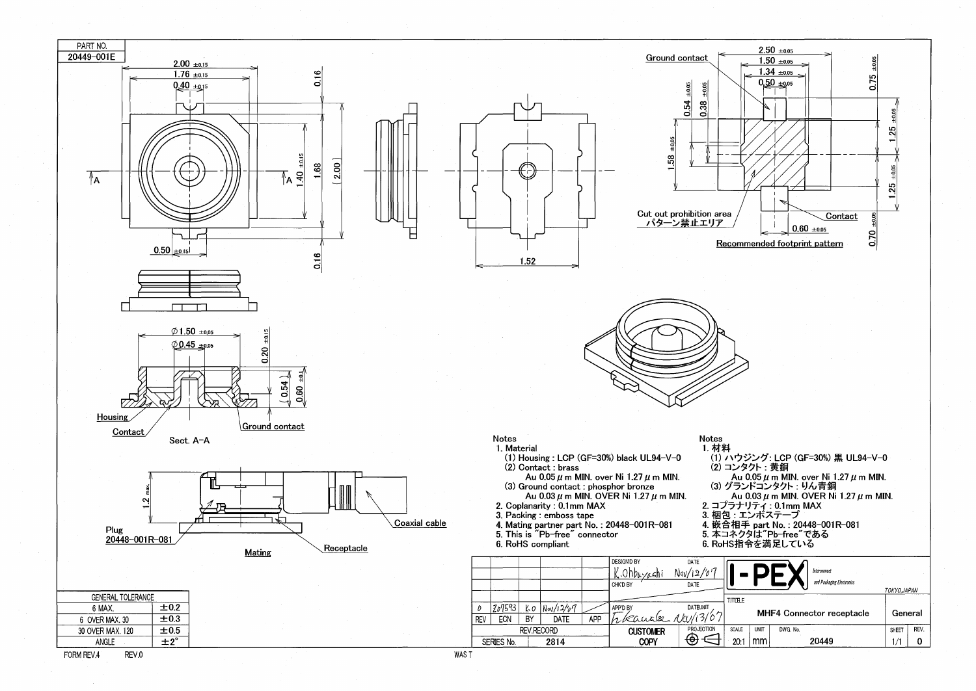